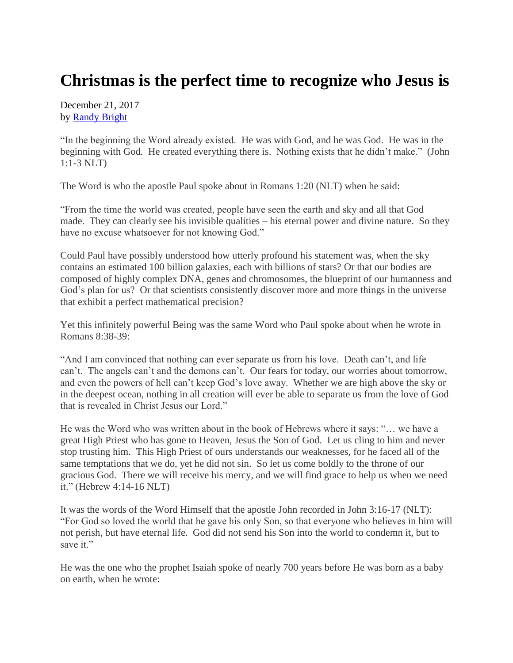## **Christmas is the perfect time to recognize who Jesus is**

December 21, 2017 by [Randy Bright](http://tulsabeacon.com/writers/randy-bright/)

"In the beginning the Word already existed. He was with God, and he was God. He was in the beginning with God. He created everything there is. Nothing exists that he didn't make." (John 1:1-3 NLT)

The Word is who the apostle Paul spoke about in Romans 1:20 (NLT) when he said:

"From the time the world was created, people have seen the earth and sky and all that God made. They can clearly see his invisible qualities – his eternal power and divine nature. So they have no excuse whatsoever for not knowing God."

Could Paul have possibly understood how utterly profound his statement was, when the sky contains an estimated 100 billion galaxies, each with billions of stars? Or that our bodies are composed of highly complex DNA, genes and chromosomes, the blueprint of our humanness and God's plan for us? Or that scientists consistently discover more and more things in the universe that exhibit a perfect mathematical precision?

Yet this infinitely powerful Being was the same Word who Paul spoke about when he wrote in Romans 8:38-39:

"And I am convinced that nothing can ever separate us from his love. Death can't, and life can't. The angels can't and the demons can't. Our fears for today, our worries about tomorrow, and even the powers of hell can't keep God's love away. Whether we are high above the sky or in the deepest ocean, nothing in all creation will ever be able to separate us from the love of God that is revealed in Christ Jesus our Lord."

He was the Word who was written about in the book of Hebrews where it says: "… we have a great High Priest who has gone to Heaven, Jesus the Son of God. Let us cling to him and never stop trusting him. This High Priest of ours understands our weaknesses, for he faced all of the same temptations that we do, yet he did not sin. So let us come boldly to the throne of our gracious God. There we will receive his mercy, and we will find grace to help us when we need it." (Hebrew 4:14-16 NLT)

It was the words of the Word Himself that the apostle John recorded in John 3:16-17 (NLT): "For God so loved the world that he gave his only Son, so that everyone who believes in him will not perish, but have eternal life. God did not send his Son into the world to condemn it, but to save it."

He was the one who the prophet Isaiah spoke of nearly 700 years before He was born as a baby on earth, when he wrote: